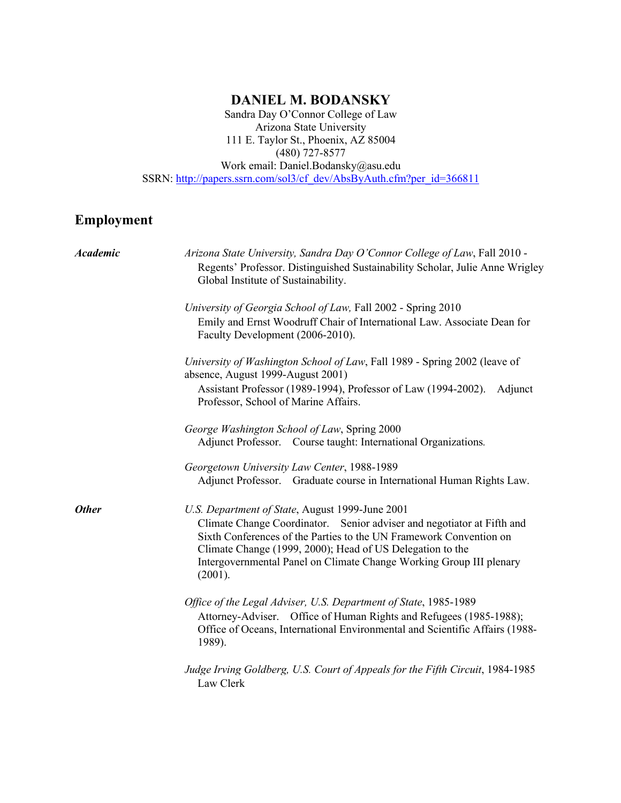# **DANIEL M. BODANSKY**

Sandra Day O'Connor College of Law Arizona State University 111 E. Taylor St., Phoenix, AZ 85004 (480) 727-8577 Work email: Daniel.Bodansky@asu.edu SSRN: http://papers.ssrn.com/sol3/cf\_dev/AbsByAuth.cfm?per\_id=366811

# **Employment**

| <b>Academic</b> | Arizona State University, Sandra Day O'Connor College of Law, Fall 2010 -<br>Regents' Professor. Distinguished Sustainability Scholar, Julie Anne Wrigley<br>Global Institute of Sustainability.                                                                                                                                               |
|-----------------|------------------------------------------------------------------------------------------------------------------------------------------------------------------------------------------------------------------------------------------------------------------------------------------------------------------------------------------------|
|                 | University of Georgia School of Law, Fall 2002 - Spring 2010<br>Emily and Ernst Woodruff Chair of International Law. Associate Dean for<br>Faculty Development (2006-2010).                                                                                                                                                                    |
|                 | University of Washington School of Law, Fall 1989 - Spring 2002 (leave of<br>absence, August 1999-August 2001)                                                                                                                                                                                                                                 |
|                 | Assistant Professor (1989-1994), Professor of Law (1994-2002).<br>Adjunct<br>Professor, School of Marine Affairs.                                                                                                                                                                                                                              |
|                 | George Washington School of Law, Spring 2000<br>Adjunct Professor. Course taught: International Organizations.                                                                                                                                                                                                                                 |
|                 | Georgetown University Law Center, 1988-1989<br>Adjunct Professor. Graduate course in International Human Rights Law.                                                                                                                                                                                                                           |
| <b>Other</b>    | U.S. Department of State, August 1999-June 2001<br>Climate Change Coordinator. Senior adviser and negotiator at Fifth and<br>Sixth Conferences of the Parties to the UN Framework Convention on<br>Climate Change (1999, 2000); Head of US Delegation to the<br>Intergovernmental Panel on Climate Change Working Group III plenary<br>(2001). |
|                 | Office of the Legal Adviser, U.S. Department of State, 1985-1989<br>Attorney-Adviser. Office of Human Rights and Refugees (1985-1988);<br>Office of Oceans, International Environmental and Scientific Affairs (1988-<br>1989).                                                                                                                |
|                 | Judge Irving Goldberg, U.S. Court of Appeals for the Fifth Circuit, 1984-1985<br>Law Clerk                                                                                                                                                                                                                                                     |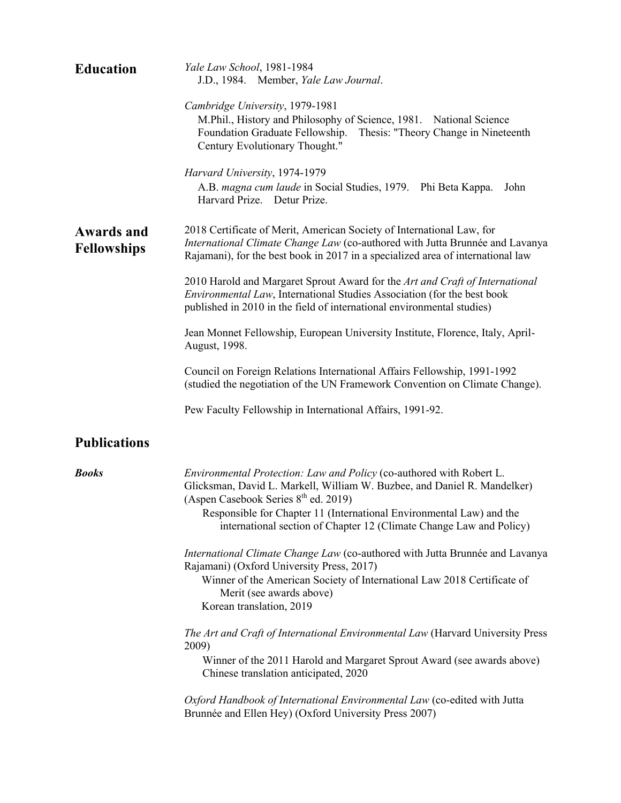| <b>Education</b>                        | Yale Law School, 1981-1984<br>J.D., 1984. Member, Yale Law Journal.                                                                                                                                                                      |
|-----------------------------------------|------------------------------------------------------------------------------------------------------------------------------------------------------------------------------------------------------------------------------------------|
|                                         | Cambridge University, 1979-1981<br>M.Phil., History and Philosophy of Science, 1981. National Science<br>Foundation Graduate Fellowship.<br>Thesis: "Theory Change in Nineteenth<br>Century Evolutionary Thought."                       |
|                                         | Harvard University, 1974-1979<br>A.B. magna cum laude in Social Studies, 1979. Phi Beta Kappa.<br>John<br>Harvard Prize. Detur Prize.                                                                                                    |
| <b>Awards and</b><br><b>Fellowships</b> | 2018 Certificate of Merit, American Society of International Law, for<br>International Climate Change Law (co-authored with Jutta Brunnée and Lavanya<br>Rajamani), for the best book in 2017 in a specialized area of international law |
|                                         | 2010 Harold and Margaret Sprout Award for the Art and Craft of International<br>Environmental Law, International Studies Association (for the best book<br>published in 2010 in the field of international environmental studies)        |
|                                         | Jean Monnet Fellowship, European University Institute, Florence, Italy, April-<br>August, 1998.                                                                                                                                          |
|                                         | Council on Foreign Relations International Affairs Fellowship, 1991-1992<br>(studied the negotiation of the UN Framework Convention on Climate Change).                                                                                  |
|                                         |                                                                                                                                                                                                                                          |
|                                         | Pew Faculty Fellowship in International Affairs, 1991-92.                                                                                                                                                                                |
| <b>Publications</b>                     |                                                                                                                                                                                                                                          |
| <b>Books</b>                            | Environmental Protection: Law and Policy (co-authored with Robert L.<br>Glicksman, David L. Markell, William W. Buzbee, and Daniel R. Mandelker)<br>(Aspen Casebook Series $8th$ ed. 2019)                                               |
|                                         | Responsible for Chapter 11 (International Environmental Law) and the<br>international section of Chapter 12 (Climate Change Law and Policy)                                                                                              |
|                                         | International Climate Change Law (co-authored with Jutta Brunnée and Lavanya<br>Rajamani) (Oxford University Press, 2017)                                                                                                                |
|                                         | Winner of the American Society of International Law 2018 Certificate of<br>Merit (see awards above)<br>Korean translation, 2019                                                                                                          |
|                                         | The Art and Craft of International Environmental Law (Harvard University Press                                                                                                                                                           |
|                                         | 2009)<br>Winner of the 2011 Harold and Margaret Sprout Award (see awards above)<br>Chinese translation anticipated, 2020                                                                                                                 |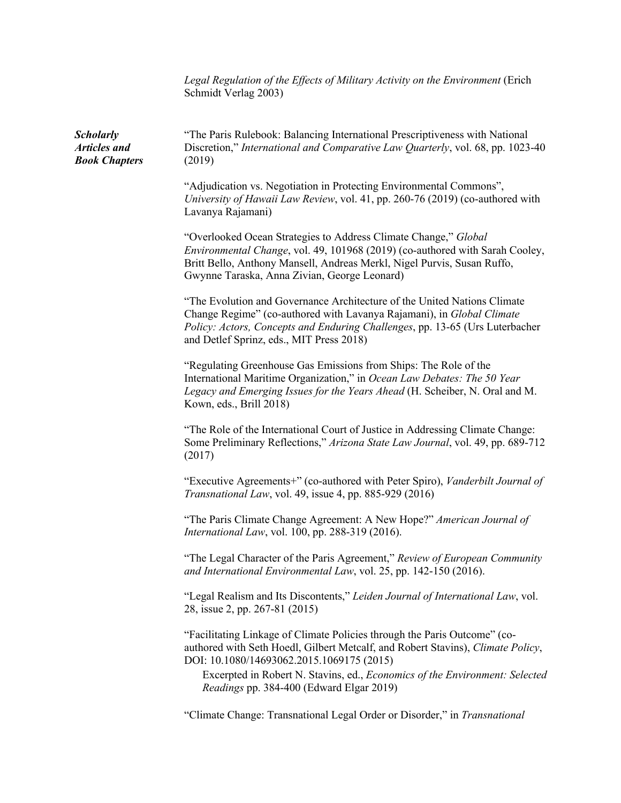*Legal Regulation of the Effects of Military Activity on the Environment* (Erich Schmidt Verlag 2003)

*Scholarly Articles and Book Chapters* "The Paris Rulebook: Balancing International Prescriptiveness with National Discretion," *International and Comparative Law Quarterly*, vol. 68, pp. 1023-40 (2019) "Adjudication vs. Negotiation in Protecting Environmental Commons", *University of Hawaii Law Review*, vol. 41, pp. 260-76 (2019) (co-authored with Lavanya Rajamani) "Overlooked Ocean Strategies to Address Climate Change," *Global Environmental Change*, vol. 49, 101968 (2019) (co-authored with Sarah Cooley, Britt Bello, Anthony Mansell, Andreas Merkl, Nigel Purvis, Susan Ruffo, Gwynne Taraska, Anna Zivian, George Leonard) "The Evolution and Governance Architecture of the United Nations Climate Change Regime" (co-authored with Lavanya Rajamani), in *Global Climate Policy: Actors, Concepts and Enduring Challenges*, pp. 13-65 (Urs Luterbacher and Detlef Sprinz, eds., MIT Press 2018) "Regulating Greenhouse Gas Emissions from Ships: The Role of the International Maritime Organization," in *Ocean Law Debates: The 50 Year Legacy and Emerging Issues for the Years Ahead* (H. Scheiber, N. Oral and M. Kown, eds., Brill 2018) "The Role of the International Court of Justice in Addressing Climate Change: Some Preliminary Reflections," *Arizona State Law Journal*, vol. 49, pp. 689-712 (2017) "Executive Agreements+" (co-authored with Peter Spiro), *Vanderbilt Journal of Transnational Law*, vol. 49, issue 4, pp. 885-929 (2016) "The Paris Climate Change Agreement: A New Hope?" *American Journal of International Law*, vol. 100, pp. 288-319 (2016). "The Legal Character of the Paris Agreement," *Review of European Community and International Environmental Law*, vol. 25, pp. 142-150 (2016). "Legal Realism and Its Discontents," *Leiden Journal of International Law*, vol. 28, issue 2, pp. 267-81 (2015) "Facilitating Linkage of Climate Policies through the Paris Outcome" (coauthored with Seth Hoedl, Gilbert Metcalf, and Robert Stavins), *Climate Policy*, DOI: 10.1080/14693062.2015.1069175 (2015) Excerpted in Robert N. Stavins, ed., *Economics of the Environment: Selected Readings* pp. 384-400 (Edward Elgar 2019) "Climate Change: Transnational Legal Order or Disorder," in *Transnational*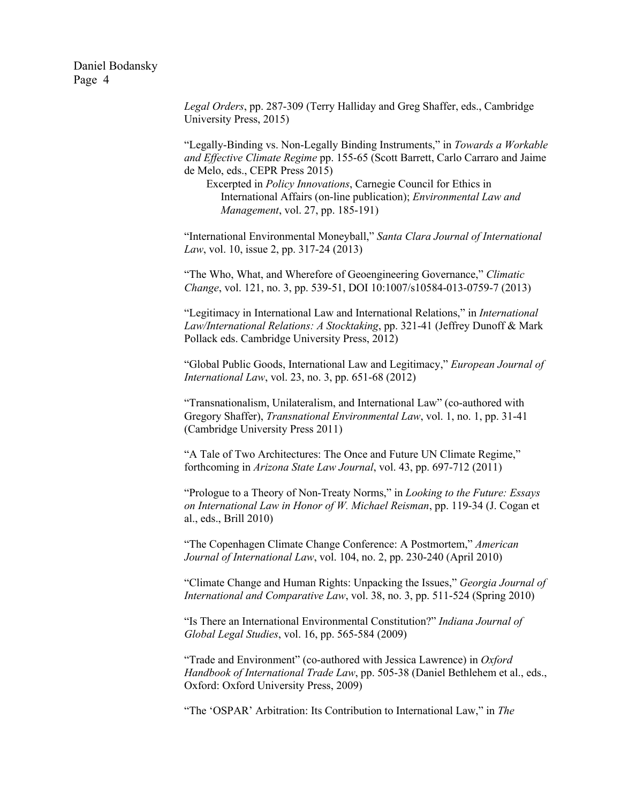> *Legal Orders*, pp. 287-309 (Terry Halliday and Greg Shaffer, eds., Cambridge University Press, 2015)

"Legally-Binding vs. Non-Legally Binding Instruments," in *Towards a Workable and Effective Climate Regime* pp. 155-65 (Scott Barrett, Carlo Carraro and Jaime de Melo, eds., CEPR Press 2015)

Excerpted in *Policy Innovations*, Carnegie Council for Ethics in International Affairs (on-line publication); *Environmental Law and Management*, vol. 27, pp. 185-191)

"International Environmental Moneyball," *Santa Clara Journal of International Law*, vol. 10, issue 2, pp. 317-24 (2013)

"The Who, What, and Wherefore of Geoengineering Governance," *Climatic Change*, vol. 121, no. 3, pp. 539-51, DOI 10:1007/s10584-013-0759-7 (2013)

"Legitimacy in International Law and International Relations," in *International Law/International Relations: A Stocktaking*, pp. 321-41 (Jeffrey Dunoff & Mark Pollack eds. Cambridge University Press, 2012)

"Global Public Goods, International Law and Legitimacy," *European Journal of International Law*, vol. 23, no. 3, pp. 651-68 (2012)

"Transnationalism, Unilateralism, and International Law" (co-authored with Gregory Shaffer), *Transnational Environmental Law*, vol. 1, no. 1, pp. 31-41 (Cambridge University Press 2011)

"A Tale of Two Architectures: The Once and Future UN Climate Regime," forthcoming in *Arizona State Law Journal*, vol. 43, pp. 697-712 (2011)

"Prologue to a Theory of Non-Treaty Norms," in *Looking to the Future: Essays on International Law in Honor of W. Michael Reisman*, pp. 119-34 (J. Cogan et al., eds., Brill 2010)

"The Copenhagen Climate Change Conference: A Postmortem," *American Journal of International Law*, vol. 104, no. 2, pp. 230-240 (April 2010)

"Climate Change and Human Rights: Unpacking the Issues," *Georgia Journal of International and Comparative Law*, vol. 38, no. 3, pp. 511-524 (Spring 2010)

"Is There an International Environmental Constitution?" *Indiana Journal of Global Legal Studies*, vol. 16, pp. 565-584 (2009)

"Trade and Environment" (co-authored with Jessica Lawrence) in *Oxford Handbook of International Trade Law*, pp. 505-38 (Daniel Bethlehem et al., eds., Oxford: Oxford University Press, 2009)

"The 'OSPAR' Arbitration: Its Contribution to International Law," in *The*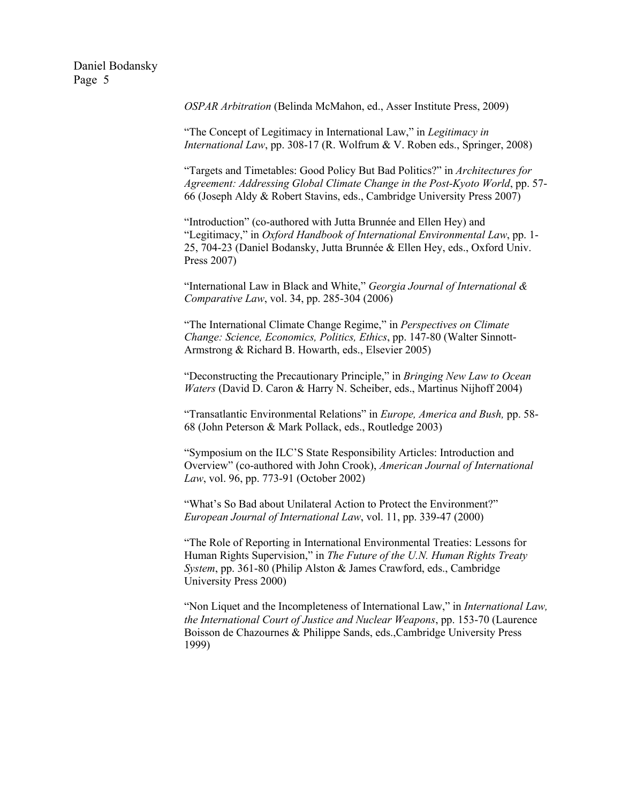*OSPAR Arbitration* (Belinda McMahon, ed., Asser Institute Press, 2009)

"The Concept of Legitimacy in International Law," in *Legitimacy in International Law*, pp. 308-17 (R. Wolfrum & V. Roben eds., Springer, 2008)

"Targets and Timetables: Good Policy But Bad Politics?" in *Architectures for Agreement: Addressing Global Climate Change in the Post-Kyoto World*, pp. 57- 66 (Joseph Aldy & Robert Stavins, eds., Cambridge University Press 2007)

"Introduction" (co-authored with Jutta Brunnée and Ellen Hey) and "Legitimacy," in *Oxford Handbook of International Environmental Law*, pp. 1- 25, 704-23 (Daniel Bodansky, Jutta Brunnée & Ellen Hey, eds., Oxford Univ. Press 2007)

"International Law in Black and White," *Georgia Journal of International & Comparative Law*, vol. 34, pp. 285-304 (2006)

"The International Climate Change Regime," in *Perspectives on Climate Change: Science, Economics, Politics, Ethics*, pp. 147-80 (Walter Sinnott-Armstrong & Richard B. Howarth, eds., Elsevier 2005)

"Deconstructing the Precautionary Principle," in *Bringing New Law to Ocean Waters* (David D. Caron & Harry N. Scheiber, eds., Martinus Nijhoff 2004)

"Transatlantic Environmental Relations" in *Europe, America and Bush,* pp. 58- 68 (John Peterson & Mark Pollack, eds., Routledge 2003)

"Symposium on the ILC'S State Responsibility Articles: Introduction and Overview" (co-authored with John Crook), *American Journal of International Law*, vol. 96, pp. 773-91 (October 2002)

"What's So Bad about Unilateral Action to Protect the Environment?" *European Journal of International Law*, vol. 11, pp. 339-47 (2000)

"The Role of Reporting in International Environmental Treaties: Lessons for Human Rights Supervision," in *The Future of the U.N. Human Rights Treaty System*, pp. 361-80 (Philip Alston & James Crawford, eds., Cambridge University Press 2000)

"Non Liquet and the Incompleteness of International Law," in *International Law, the International Court of Justice and Nuclear Weapons*, pp. 153-70 (Laurence Boisson de Chazournes & Philippe Sands, eds.,Cambridge University Press 1999)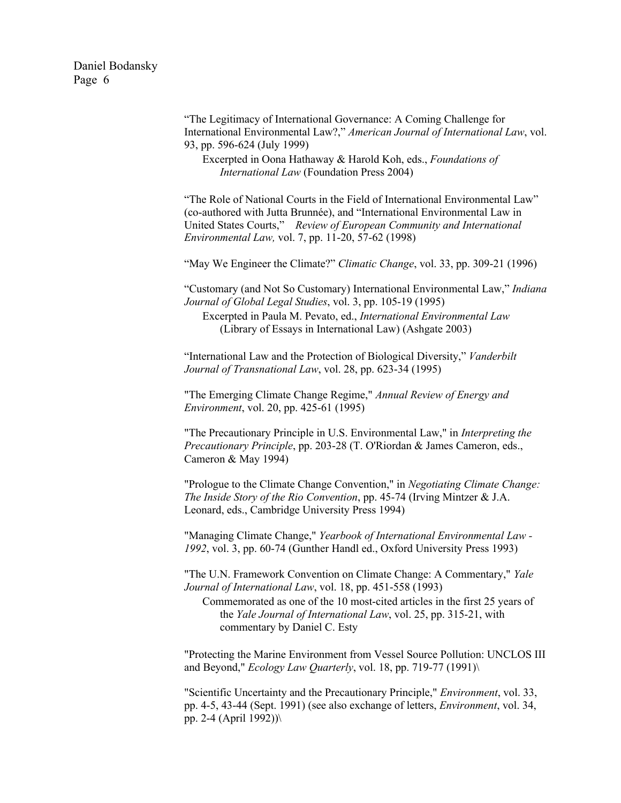> "The Legitimacy of International Governance: A Coming Challenge for International Environmental Law?," *American Journal of International Law*, vol. 93, pp. 596-624 (July 1999)

Excerpted in Oona Hathaway & Harold Koh, eds., *Foundations of International Law* (Foundation Press 2004)

"The Role of National Courts in the Field of International Environmental Law" (co-authored with Jutta Brunnée), and "International Environmental Law in United States Courts," *Review of European Community and International Environmental Law,* vol. 7, pp. 11-20, 57-62 (1998)

"May We Engineer the Climate?" *Climatic Change*, vol. 33, pp. 309-21 (1996)

"Customary (and Not So Customary) International Environmental Law," *Indiana Journal of Global Legal Studies*, vol. 3, pp. 105-19 (1995)

Excerpted in Paula M. Pevato, ed., *International Environmental Law* (Library of Essays in International Law) (Ashgate 2003)

"International Law and the Protection of Biological Diversity," *Vanderbilt Journal of Transnational Law*, vol. 28, pp. 623-34 (1995)

"The Emerging Climate Change Regime," *Annual Review of Energy and Environment*, vol. 20, pp. 425-61 (1995)

"The Precautionary Principle in U.S. Environmental Law," in *Interpreting the Precautionary Principle*, pp. 203-28 (T. O'Riordan & James Cameron, eds., Cameron & May 1994)

"Prologue to the Climate Change Convention," in *Negotiating Climate Change: The Inside Story of the Rio Convention*, pp. 45-74 (Irving Mintzer & J.A. Leonard, eds., Cambridge University Press 1994)

"Managing Climate Change," *Yearbook of International Environmental Law - 1992*, vol. 3, pp. 60-74 (Gunther Handl ed., Oxford University Press 1993)

"The U.N. Framework Convention on Climate Change: A Commentary," *Yale Journal of International Law*, vol. 18, pp. 451-558 (1993)

Commemorated as one of the 10 most-cited articles in the first 25 years of the *Yale Journal of International Law*, vol. 25, pp. 315-21, with commentary by Daniel C. Esty

"Protecting the Marine Environment from Vessel Source Pollution: UNCLOS III and Beyond," *Ecology Law Quarterly*, vol. 18, pp. 719-77 (1991)\

"Scientific Uncertainty and the Precautionary Principle," *Environment*, vol. 33, pp. 4-5, 43-44 (Sept. 1991) (see also exchange of letters, *Environment*, vol. 34, pp. 2-4 (April 1992))\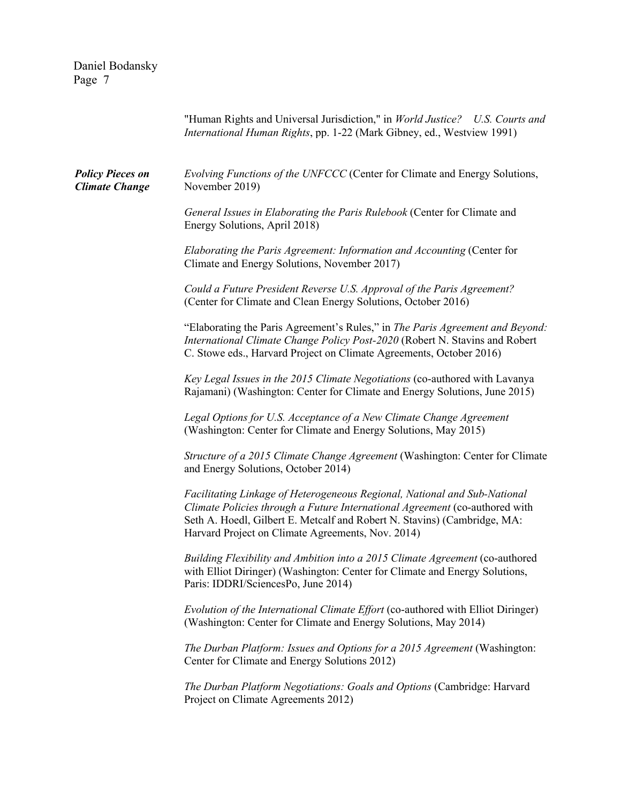| Daniel Bodansky<br>Page 7                        |                                                                                                                                                                                                                                                                                           |
|--------------------------------------------------|-------------------------------------------------------------------------------------------------------------------------------------------------------------------------------------------------------------------------------------------------------------------------------------------|
|                                                  | "Human Rights and Universal Jurisdiction," in World Justice? U.S. Courts and<br>International Human Rights, pp. 1-22 (Mark Gibney, ed., Westview 1991)                                                                                                                                    |
| <b>Policy Pieces on</b><br><b>Climate Change</b> | Evolving Functions of the UNFCCC (Center for Climate and Energy Solutions,<br>November 2019)                                                                                                                                                                                              |
|                                                  | General Issues in Elaborating the Paris Rulebook (Center for Climate and<br>Energy Solutions, April 2018)                                                                                                                                                                                 |
|                                                  | Elaborating the Paris Agreement: Information and Accounting (Center for<br>Climate and Energy Solutions, November 2017)                                                                                                                                                                   |
|                                                  | Could a Future President Reverse U.S. Approval of the Paris Agreement?<br>(Center for Climate and Clean Energy Solutions, October 2016)                                                                                                                                                   |
|                                                  | "Elaborating the Paris Agreement's Rules," in The Paris Agreement and Beyond:<br>International Climate Change Policy Post-2020 (Robert N. Stavins and Robert<br>C. Stowe eds., Harvard Project on Climate Agreements, October 2016)                                                       |
|                                                  | Key Legal Issues in the 2015 Climate Negotiations (co-authored with Lavanya<br>Rajamani) (Washington: Center for Climate and Energy Solutions, June 2015)                                                                                                                                 |
|                                                  | Legal Options for U.S. Acceptance of a New Climate Change Agreement<br>(Washington: Center for Climate and Energy Solutions, May 2015)                                                                                                                                                    |
|                                                  | Structure of a 2015 Climate Change Agreement (Washington: Center for Climate<br>and Energy Solutions, October 2014)                                                                                                                                                                       |
|                                                  | Facilitating Linkage of Heterogeneous Regional, National and Sub-National<br>Climate Policies through a Future International Agreement (co-authored with<br>Seth A. Hoedl, Gilbert E. Metcalf and Robert N. Stavins) (Cambridge, MA:<br>Harvard Project on Climate Agreements, Nov. 2014) |
|                                                  | Building Flexibility and Ambition into a 2015 Climate Agreement (co-authored<br>with Elliot Diringer) (Washington: Center for Climate and Energy Solutions,<br>Paris: IDDRI/SciencesPo, June 2014)                                                                                        |
|                                                  | Evolution of the International Climate Effort (co-authored with Elliot Diringer)<br>(Washington: Center for Climate and Energy Solutions, May 2014)                                                                                                                                       |
|                                                  | The Durban Platform: Issues and Options for a 2015 Agreement (Washington:<br>Center for Climate and Energy Solutions 2012)                                                                                                                                                                |
|                                                  | The Durban Platform Negotiations: Goals and Options (Cambridge: Harvard<br>Project on Climate Agreements 2012)                                                                                                                                                                            |
|                                                  |                                                                                                                                                                                                                                                                                           |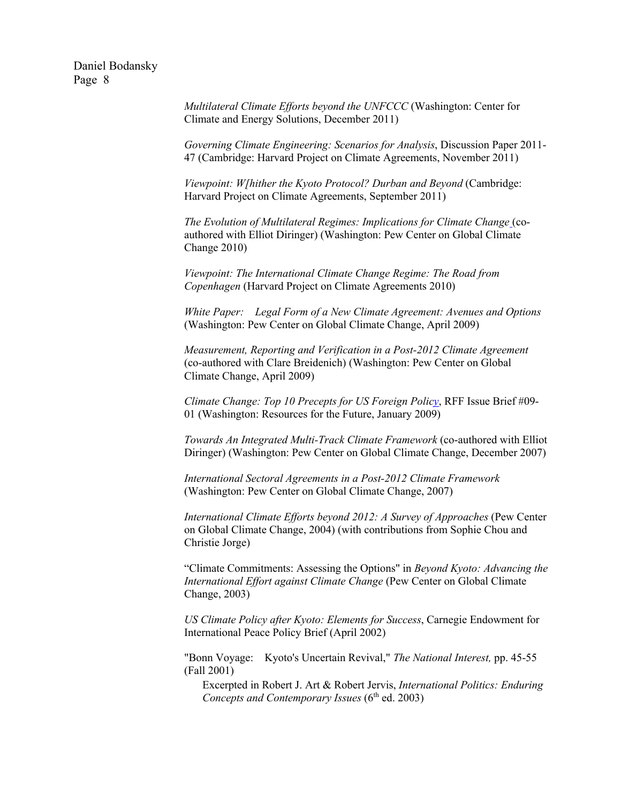> *Multilateral Climate Efforts beyond the UNFCCC* (Washington: Center for Climate and Energy Solutions, December 2011)

*Governing Climate Engineering: Scenarios for Analysis*, Discussion Paper 2011- 47 (Cambridge: Harvard Project on Climate Agreements, November 2011)

*Viewpoint: W[hither the Kyoto Protocol? Durban and Beyond* (Cambridge: Harvard Project on Climate Agreements, September 2011)

*The Evolution of Multilateral Regimes: Implications for Climate Change* (coauthored with Elliot Diringer) (Washington: Pew Center on Global Climate Change 2010)

*Viewpoint: The International Climate Change Regime: The Road from Copenhagen* (Harvard Project on Climate Agreements 2010)

*White Paper: Legal Form of a New Climate Agreement: Avenues and Options* (Washington: Pew Center on Global Climate Change, April 2009)

*Measurement, Reporting and Verification in a Post-2012 Climate Agreement* (co-authored with Clare Breidenich) (Washington: Pew Center on Global Climate Change, April 2009)

*Climate Change: Top 10 Precepts for US Foreign Policy*, RFF Issue Brief #09- 01 (Washington: Resources for the Future, January 2009)

*Towards An Integrated Multi-Track Climate Framework* (co-authored with Elliot Diringer) (Washington: Pew Center on Global Climate Change, December 2007)

*International Sectoral Agreements in a Post-2012 Climate Framework* (Washington: Pew Center on Global Climate Change, 2007)

*International Climate Efforts beyond 2012: A Survey of Approaches* (Pew Center on Global Climate Change, 2004) (with contributions from Sophie Chou and Christie Jorge)

"Climate Commitments: Assessing the Options" in *Beyond Kyoto: Advancing the International Effort against Climate Change* (Pew Center on Global Climate Change, 2003)

*US Climate Policy after Kyoto: Elements for Success*, Carnegie Endowment for International Peace Policy Brief (April 2002)

"Bonn Voyage: Kyoto's Uncertain Revival," *The National Interest,* pp. 45-55 (Fall 2001)

Excerpted in Robert J. Art & Robert Jervis, *International Politics: Enduring Concepts and Contemporary Issues* (6<sup>th</sup> ed. 2003)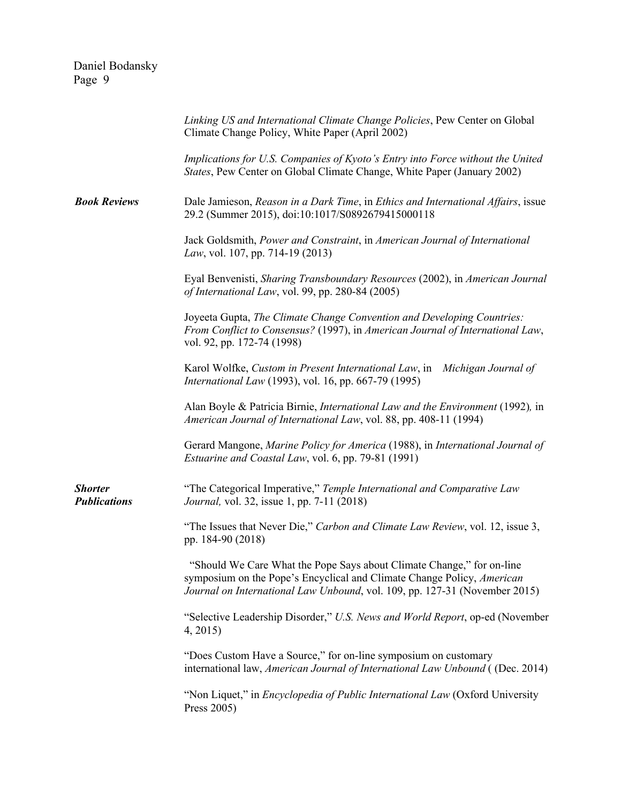|                                       | Linking US and International Climate Change Policies, Pew Center on Global<br>Climate Change Policy, White Paper (April 2002)                                                                                                 |
|---------------------------------------|-------------------------------------------------------------------------------------------------------------------------------------------------------------------------------------------------------------------------------|
|                                       | Implications for U.S. Companies of Kyoto's Entry into Force without the United<br>States, Pew Center on Global Climate Change, White Paper (January 2002)                                                                     |
| <b>Book Reviews</b>                   | Dale Jamieson, Reason in a Dark Time, in Ethics and International Affairs, issue<br>29.2 (Summer 2015), doi:10:1017/S0892679415000118                                                                                         |
|                                       | Jack Goldsmith, Power and Constraint, in American Journal of International<br>Law, vol. 107, pp. 714-19 (2013)                                                                                                                |
|                                       | Eyal Benvenisti, Sharing Transboundary Resources (2002), in American Journal<br>of International Law, vol. 99, pp. 280-84 (2005)                                                                                              |
|                                       | Joyeeta Gupta, The Climate Change Convention and Developing Countries:<br>From Conflict to Consensus? (1997), in American Journal of International Law,<br>vol. 92, pp. 172-74 (1998)                                         |
|                                       | Karol Wolfke, Custom in Present International Law, in Michigan Journal of<br>International Law (1993), vol. 16, pp. 667-79 (1995)                                                                                             |
|                                       | Alan Boyle & Patricia Birnie, International Law and the Environment (1992), in<br>American Journal of International Law, vol. 88, pp. 408-11 (1994)                                                                           |
|                                       | Gerard Mangone, Marine Policy for America (1988), in International Journal of<br><i>Estuarine and Coastal Law, vol. 6, pp. 79-81 (1991)</i>                                                                                   |
| <b>Shorter</b><br><b>Publications</b> | "The Categorical Imperative," Temple International and Comparative Law<br><i>Journal</i> , vol. 32, issue 1, pp. 7-11 (2018)                                                                                                  |
|                                       | "The Issues that Never Die," Carbon and Climate Law Review, vol. 12, issue 3,<br>pp. 184-90 (2018)                                                                                                                            |
|                                       | "Should We Care What the Pope Says about Climate Change," for on-line<br>symposium on the Pope's Encyclical and Climate Change Policy, American<br>Journal on International Law Unbound, vol. 109, pp. 127-31 (November 2015) |
|                                       | "Selective Leadership Disorder," U.S. News and World Report, op-ed (November<br>4, 2015                                                                                                                                       |
|                                       | "Does Custom Have a Source," for on-line symposium on customary<br>international law, American Journal of International Law Unbound ((Dec. 2014)                                                                              |
|                                       | "Non Liquet," in <i>Encyclopedia of Public International Law</i> (Oxford University<br>Press 2005)                                                                                                                            |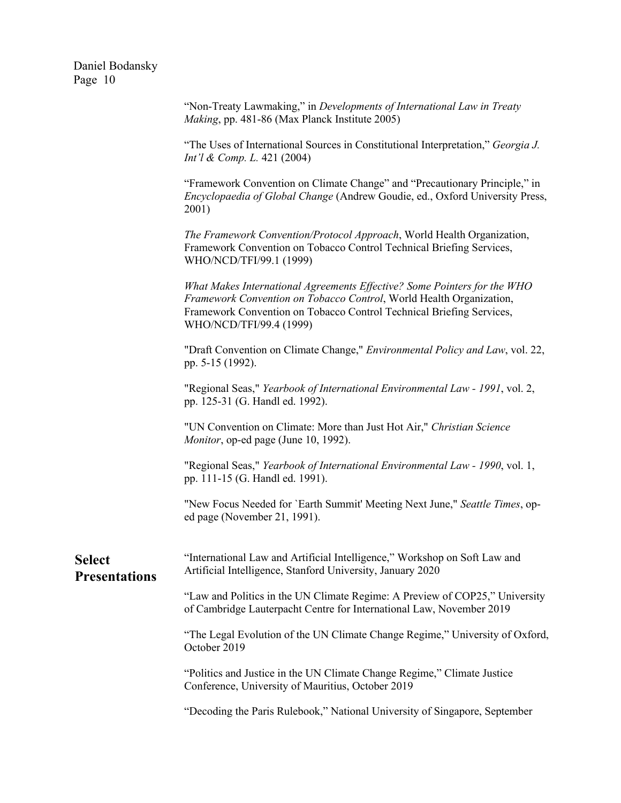|                                       | "Non-Treaty Lawmaking," in Developments of International Law in Treaty<br>Making, pp. 481-86 (Max Planck Institute 2005)                                                                                                                           |
|---------------------------------------|----------------------------------------------------------------------------------------------------------------------------------------------------------------------------------------------------------------------------------------------------|
|                                       | "The Uses of International Sources in Constitutional Interpretation," Georgia J.<br><i>Int'l &amp; Comp. L.</i> 421 (2004)                                                                                                                         |
|                                       | "Framework Convention on Climate Change" and "Precautionary Principle," in<br>Encyclopaedia of Global Change (Andrew Goudie, ed., Oxford University Press,<br>2001)                                                                                |
|                                       | The Framework Convention/Protocol Approach, World Health Organization,<br>Framework Convention on Tobacco Control Technical Briefing Services,<br>WHO/NCD/TFI/99.1 (1999)                                                                          |
|                                       | What Makes International Agreements Effective? Some Pointers for the WHO<br>Framework Convention on Tobacco Control, World Health Organization,<br>Framework Convention on Tobacco Control Technical Briefing Services,<br>WHO/NCD/TFI/99.4 (1999) |
|                                       | "Draft Convention on Climate Change," Environmental Policy and Law, vol. 22,<br>pp. 5-15 (1992).                                                                                                                                                   |
|                                       | "Regional Seas," Yearbook of International Environmental Law - 1991, vol. 2,<br>pp. 125-31 (G. Handl ed. 1992).                                                                                                                                    |
|                                       | "UN Convention on Climate: More than Just Hot Air," Christian Science<br>Monitor, op-ed page (June 10, 1992).                                                                                                                                      |
|                                       | "Regional Seas," Yearbook of International Environmental Law - 1990, vol. 1,<br>pp. 111-15 (G. Handl ed. 1991).                                                                                                                                    |
|                                       | "New Focus Needed for `Earth Summit' Meeting Next June," Seattle Times, op-<br>ed page (November 21, 1991).                                                                                                                                        |
| <b>Select</b><br><b>Presentations</b> | "International Law and Artificial Intelligence," Workshop on Soft Law and<br>Artificial Intelligence, Stanford University, January 2020                                                                                                            |
|                                       | "Law and Politics in the UN Climate Regime: A Preview of COP25," University<br>of Cambridge Lauterpacht Centre for International Law, November 2019                                                                                                |
|                                       | "The Legal Evolution of the UN Climate Change Regime," University of Oxford,<br>October 2019                                                                                                                                                       |
|                                       | "Politics and Justice in the UN Climate Change Regime," Climate Justice<br>Conference, University of Mauritius, October 2019                                                                                                                       |
|                                       | "Decoding the Paris Rulebook," National University of Singapore, September                                                                                                                                                                         |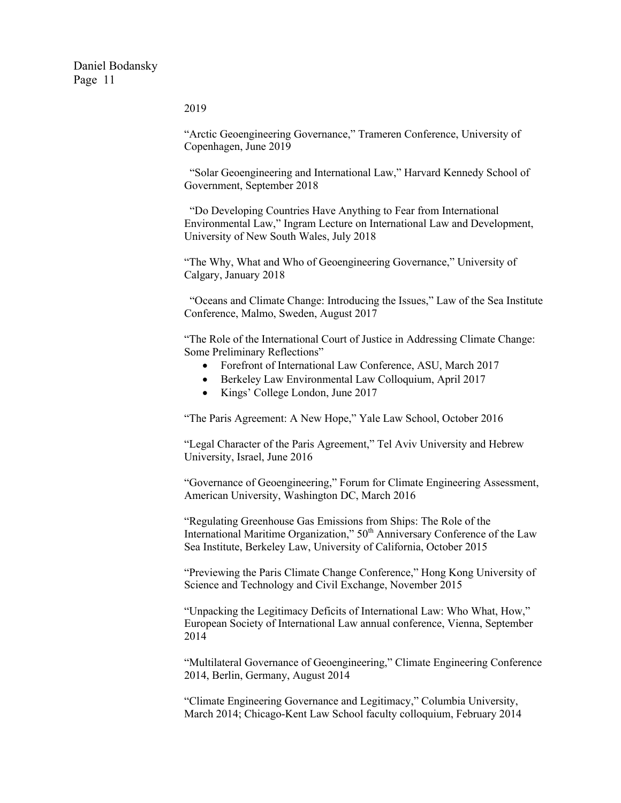2019

"Arctic Geoengineering Governance," Trameren Conference, University of Copenhagen, June 2019

"Solar Geoengineering and International Law," Harvard Kennedy School of Government, September 2018

"Do Developing Countries Have Anything to Fear from International Environmental Law," Ingram Lecture on International Law and Development, University of New South Wales, July 2018

"The Why, What and Who of Geoengineering Governance," University of Calgary, January 2018

"Oceans and Climate Change: Introducing the Issues," Law of the Sea Institute Conference, Malmo, Sweden, August 2017

"The Role of the International Court of Justice in Addressing Climate Change: Some Preliminary Reflections"

- Forefront of International Law Conference, ASU, March 2017
- Berkeley Law Environmental Law Colloquium, April 2017
- Kings' College London, June 2017

"The Paris Agreement: A New Hope," Yale Law School, October 2016

"Legal Character of the Paris Agreement," Tel Aviv University and Hebrew University, Israel, June 2016

"Governance of Geoengineering," Forum for Climate Engineering Assessment, American University, Washington DC, March 2016

"Regulating Greenhouse Gas Emissions from Ships: The Role of the International Maritime Organization,"  $50<sup>th</sup>$  Anniversary Conference of the Law Sea Institute, Berkeley Law, University of California, October 2015

"Previewing the Paris Climate Change Conference," Hong Kong University of Science and Technology and Civil Exchange, November 2015

"Unpacking the Legitimacy Deficits of International Law: Who What, How," European Society of International Law annual conference, Vienna, September 2014

"Multilateral Governance of Geoengineering," Climate Engineering Conference 2014, Berlin, Germany, August 2014

"Climate Engineering Governance and Legitimacy," Columbia University, March 2014; Chicago-Kent Law School faculty colloquium, February 2014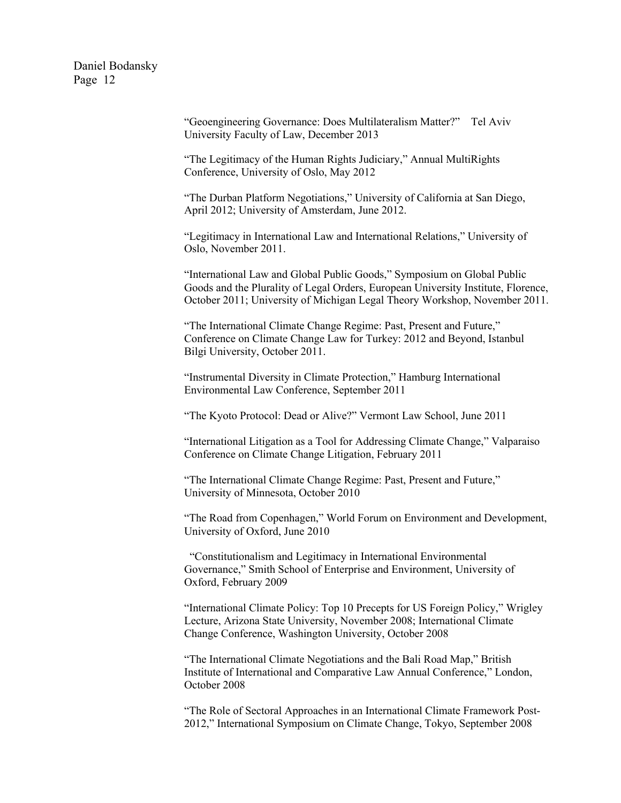> "Geoengineering Governance: Does Multilateralism Matter?" Tel Aviv University Faculty of Law, December 2013

"The Legitimacy of the Human Rights Judiciary," Annual MultiRights Conference, University of Oslo, May 2012

"The Durban Platform Negotiations," University of California at San Diego, April 2012; University of Amsterdam, June 2012.

"Legitimacy in International Law and International Relations," University of Oslo, November 2011.

"International Law and Global Public Goods," Symposium on Global Public Goods and the Plurality of Legal Orders, European University Institute, Florence, October 2011; University of Michigan Legal Theory Workshop, November 2011.

"The International Climate Change Regime: Past, Present and Future," Conference on Climate Change Law for Turkey: 2012 and Beyond, Istanbul Bilgi University, October 2011.

"Instrumental Diversity in Climate Protection," Hamburg International Environmental Law Conference, September 2011

"The Kyoto Protocol: Dead or Alive?" Vermont Law School, June 2011

"International Litigation as a Tool for Addressing Climate Change," Valparaiso Conference on Climate Change Litigation, February 2011

"The International Climate Change Regime: Past, Present and Future," University of Minnesota, October 2010

"The Road from Copenhagen," World Forum on Environment and Development, University of Oxford, June 2010

"Constitutionalism and Legitimacy in International Environmental Governance," Smith School of Enterprise and Environment, University of Oxford, February 2009

"International Climate Policy: Top 10 Precepts for US Foreign Policy," Wrigley Lecture, Arizona State University, November 2008; International Climate Change Conference, Washington University, October 2008

"The International Climate Negotiations and the Bali Road Map," British Institute of International and Comparative Law Annual Conference," London, October 2008

"The Role of Sectoral Approaches in an International Climate Framework Post-2012," International Symposium on Climate Change, Tokyo, September 2008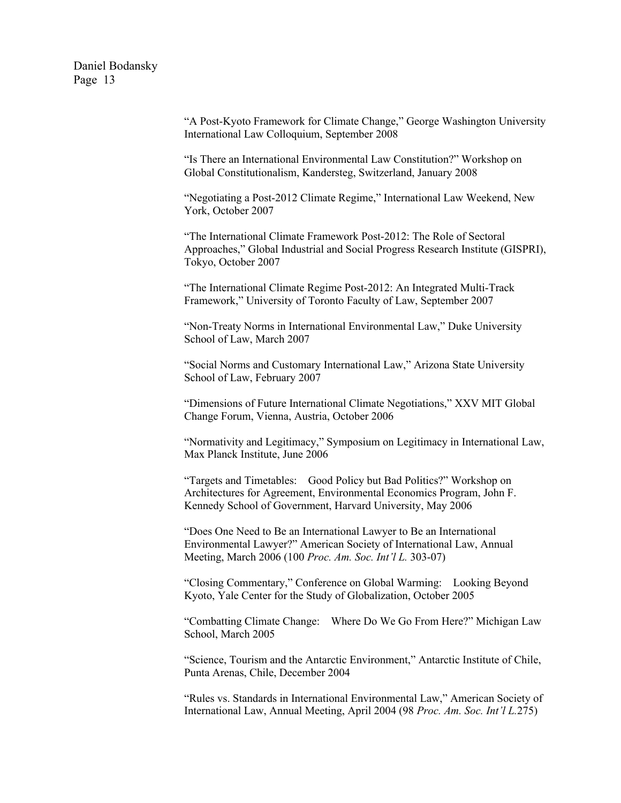> "A Post-Kyoto Framework for Climate Change," George Washington University International Law Colloquium, September 2008

"Is There an International Environmental Law Constitution?" Workshop on Global Constitutionalism, Kandersteg, Switzerland, January 2008

"Negotiating a Post-2012 Climate Regime," International Law Weekend, New York, October 2007

"The International Climate Framework Post-2012: The Role of Sectoral Approaches," Global Industrial and Social Progress Research Institute (GISPRI), Tokyo, October 2007

"The International Climate Regime Post-2012: An Integrated Multi-Track Framework," University of Toronto Faculty of Law, September 2007

"Non-Treaty Norms in International Environmental Law," Duke University School of Law, March 2007

"Social Norms and Customary International Law," Arizona State University School of Law, February 2007

"Dimensions of Future International Climate Negotiations," XXV MIT Global Change Forum, Vienna, Austria, October 2006

"Normativity and Legitimacy," Symposium on Legitimacy in International Law, Max Planck Institute, June 2006

"Targets and Timetables: Good Policy but Bad Politics?" Workshop on Architectures for Agreement, Environmental Economics Program, John F. Kennedy School of Government, Harvard University, May 2006

"Does One Need to Be an International Lawyer to Be an International Environmental Lawyer?" American Society of International Law, Annual Meeting, March 2006 (100 *Proc. Am. Soc. Int'l L.* 303-07)

"Closing Commentary," Conference on Global Warming: Looking Beyond Kyoto, Yale Center for the Study of Globalization, October 2005

"Combatting Climate Change: Where Do We Go From Here?" Michigan Law School, March 2005

"Science, Tourism and the Antarctic Environment," Antarctic Institute of Chile, Punta Arenas, Chile, December 2004

"Rules vs. Standards in International Environmental Law," American Society of International Law, Annual Meeting, April 2004 (98 *Proc. Am. Soc. Int'l L.*275)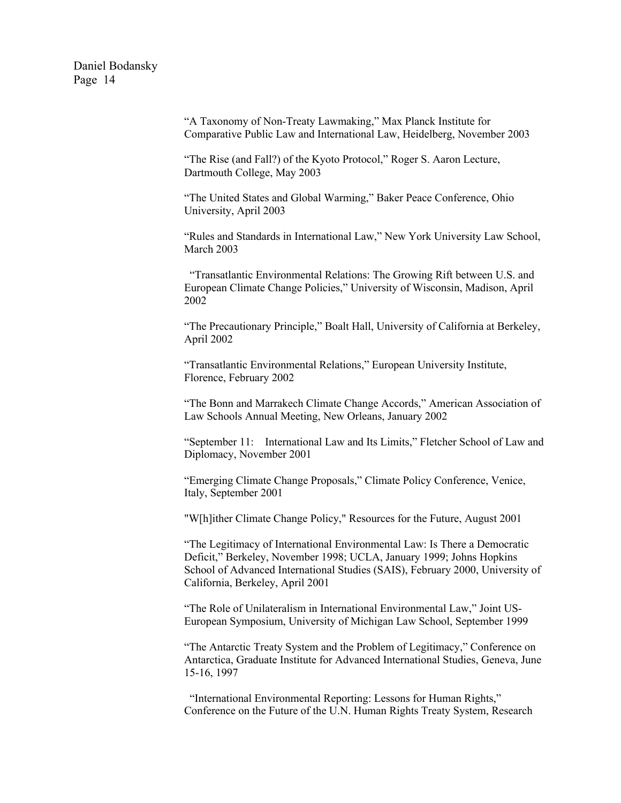> "A Taxonomy of Non-Treaty Lawmaking," Max Planck Institute for Comparative Public Law and International Law, Heidelberg, November 2003

"The Rise (and Fall?) of the Kyoto Protocol," Roger S. Aaron Lecture, Dartmouth College, May 2003

"The United States and Global Warming," Baker Peace Conference, Ohio University, April 2003

"Rules and Standards in International Law," New York University Law School, March 2003

"Transatlantic Environmental Relations: The Growing Rift between U.S. and European Climate Change Policies," University of Wisconsin, Madison, April 2002

"The Precautionary Principle," Boalt Hall, University of California at Berkeley, April 2002

"Transatlantic Environmental Relations," European University Institute, Florence, February 2002

"The Bonn and Marrakech Climate Change Accords," American Association of Law Schools Annual Meeting, New Orleans, January 2002

"September 11: International Law and Its Limits," Fletcher School of Law and Diplomacy, November 2001

"Emerging Climate Change Proposals," Climate Policy Conference, Venice, Italy, September 2001

"W[h]ither Climate Change Policy," Resources for the Future, August 2001

"The Legitimacy of International Environmental Law: Is There a Democratic Deficit," Berkeley, November 1998; UCLA, January 1999; Johns Hopkins School of Advanced International Studies (SAIS), February 2000, University of California, Berkeley, April 2001

"The Role of Unilateralism in International Environmental Law," Joint US-European Symposium, University of Michigan Law School, September 1999

"The Antarctic Treaty System and the Problem of Legitimacy," Conference on Antarctica, Graduate Institute for Advanced International Studies, Geneva, June 15-16, 1997

"International Environmental Reporting: Lessons for Human Rights," Conference on the Future of the U.N. Human Rights Treaty System, Research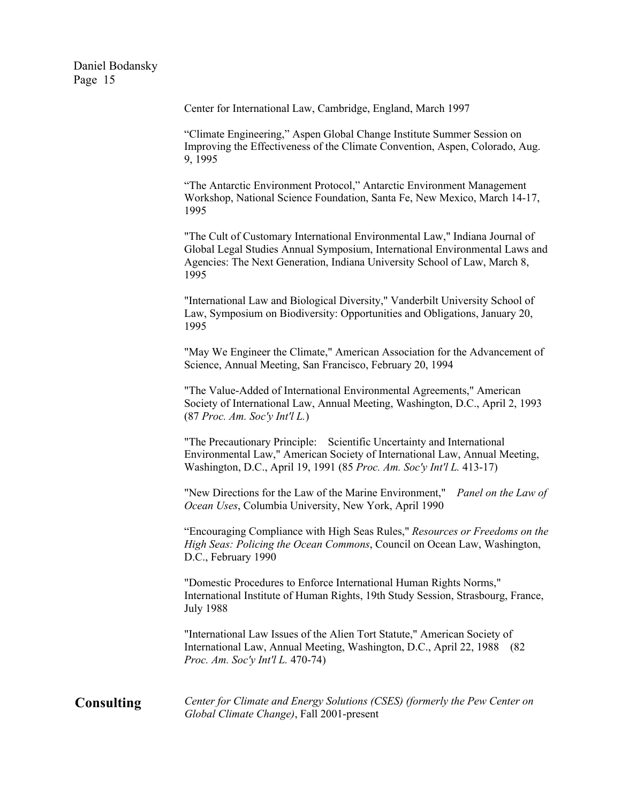Center for International Law, Cambridge, England, March 1997

"Climate Engineering," Aspen Global Change Institute Summer Session on Improving the Effectiveness of the Climate Convention, Aspen, Colorado, Aug. 9, 1995

"The Antarctic Environment Protocol," Antarctic Environment Management Workshop, National Science Foundation, Santa Fe, New Mexico, March 14-17, 1995

"The Cult of Customary International Environmental Law," Indiana Journal of Global Legal Studies Annual Symposium, International Environmental Laws and Agencies: The Next Generation, Indiana University School of Law, March 8, 1995

"International Law and Biological Diversity," Vanderbilt University School of Law, Symposium on Biodiversity: Opportunities and Obligations, January 20, 1995

"May We Engineer the Climate," American Association for the Advancement of Science, Annual Meeting, San Francisco, February 20, 1994

"The Value-Added of International Environmental Agreements," American Society of International Law, Annual Meeting, Washington, D.C., April 2, 1993 (87 *Proc. Am. Soc'y Int'l L.*)

"The Precautionary Principle: Scientific Uncertainty and International Environmental Law," American Society of International Law, Annual Meeting, Washington, D.C., April 19, 1991 (85 *Proc. Am. Soc'y Int'l L.* 413-17)

"New Directions for the Law of the Marine Environment," *Panel on the Law of Ocean Uses*, Columbia University, New York, April 1990

"Encouraging Compliance with High Seas Rules," *Resources or Freedoms on the High Seas: Policing the Ocean Commons*, Council on Ocean Law, Washington, D.C., February 1990

"Domestic Procedures to Enforce International Human Rights Norms," International Institute of Human Rights, 19th Study Session, Strasbourg, France, July 1988

"International Law Issues of the Alien Tort Statute," American Society of International Law, Annual Meeting, Washington, D.C., April 22, 1988 (82 *Proc. Am. Soc'y Int'l L.* 470-74)

**Consulting** *Center for Climate and Energy Solutions (CSES) (formerly the Pew Center on Global Climate Change)*, Fall 2001-present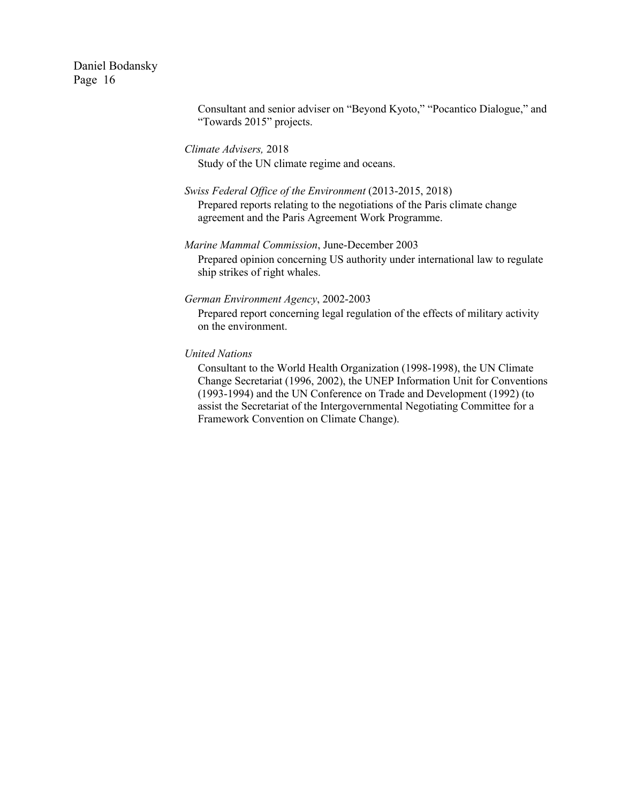> Consultant and senior adviser on "Beyond Kyoto," "Pocantico Dialogue," and "Towards 2015" projects.

*Climate Advisers,* 2018 Study of the UN climate regime and oceans.

## *Swiss Federal Office of the Environment* (2013-2015, 2018)

Prepared reports relating to the negotiations of the Paris climate change agreement and the Paris Agreement Work Programme.

## *Marine Mammal Commission*, June-December 2003

Prepared opinion concerning US authority under international law to regulate ship strikes of right whales.

#### *German Environment Agency*, 2002-2003

Prepared report concerning legal regulation of the effects of military activity on the environment.

#### *United Nations*

Consultant to the World Health Organization (1998-1998), the UN Climate Change Secretariat (1996, 2002), the UNEP Information Unit for Conventions (1993-1994) and the UN Conference on Trade and Development (1992) (to assist the Secretariat of the Intergovernmental Negotiating Committee for a Framework Convention on Climate Change).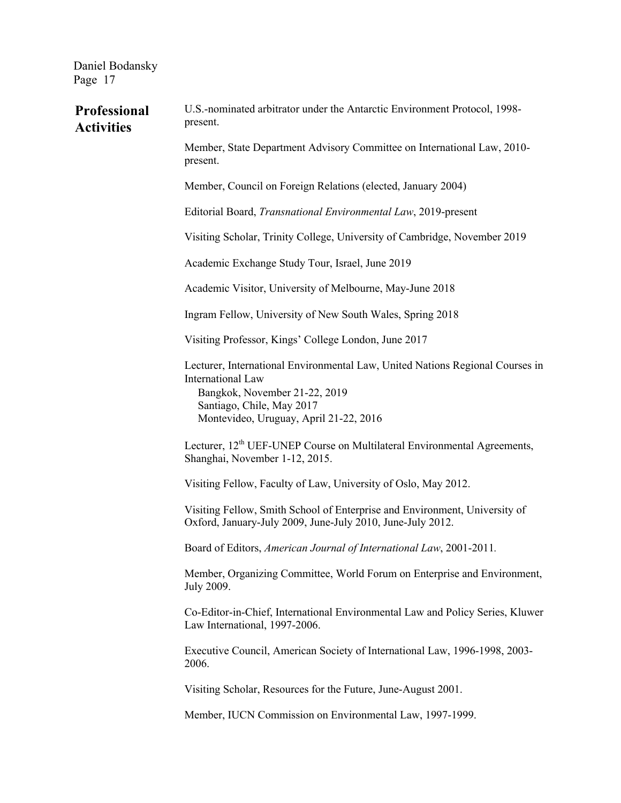| Professional<br><b>Activities</b> | U.S.-nominated arbitrator under the Antarctic Environment Protocol, 1998-<br>present.                                                                                                                      |
|-----------------------------------|------------------------------------------------------------------------------------------------------------------------------------------------------------------------------------------------------------|
|                                   | Member, State Department Advisory Committee on International Law, 2010-<br>present.                                                                                                                        |
|                                   | Member, Council on Foreign Relations (elected, January 2004)                                                                                                                                               |
|                                   | Editorial Board, Transnational Environmental Law, 2019-present                                                                                                                                             |
|                                   | Visiting Scholar, Trinity College, University of Cambridge, November 2019                                                                                                                                  |
|                                   | Academic Exchange Study Tour, Israel, June 2019                                                                                                                                                            |
|                                   | Academic Visitor, University of Melbourne, May-June 2018                                                                                                                                                   |
|                                   | Ingram Fellow, University of New South Wales, Spring 2018                                                                                                                                                  |
|                                   | Visiting Professor, Kings' College London, June 2017                                                                                                                                                       |
|                                   | Lecturer, International Environmental Law, United Nations Regional Courses in<br>International Law<br>Bangkok, November 21-22, 2019<br>Santiago, Chile, May 2017<br>Montevideo, Uruguay, April 21-22, 2016 |
|                                   | Lecturer, 12 <sup>th</sup> UEF-UNEP Course on Multilateral Environmental Agreements,<br>Shanghai, November 1-12, 2015.                                                                                     |
|                                   | Visiting Fellow, Faculty of Law, University of Oslo, May 2012.                                                                                                                                             |
|                                   | Visiting Fellow, Smith School of Enterprise and Environment, University of<br>Oxford, January-July 2009, June-July 2010, June-July 2012.                                                                   |
|                                   | Board of Editors, American Journal of International Law, 2001-2011.                                                                                                                                        |
|                                   | Member, Organizing Committee, World Forum on Enterprise and Environment,<br>July 2009.                                                                                                                     |
|                                   | Co-Editor-in-Chief, International Environmental Law and Policy Series, Kluwer<br>Law International, 1997-2006.                                                                                             |
|                                   | Executive Council, American Society of International Law, 1996-1998, 2003-<br>2006.                                                                                                                        |
|                                   | Visiting Scholar, Resources for the Future, June-August 2001.                                                                                                                                              |
|                                   | Member, IUCN Commission on Environmental Law, 1997-1999.                                                                                                                                                   |